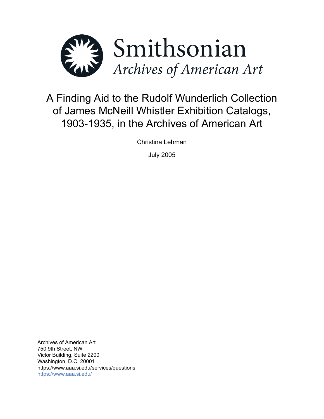

# A Finding Aid to the Rudolf Wunderlich Collection of James McNeill Whistler Exhibition Catalogs, 1903-1935, in the Archives of American Art

Christina Lehman

July 2005

Archives of American Art 750 9th Street, NW Victor Building, Suite 2200 Washington, D.C. 20001 https://www.aaa.si.edu/services/questions <https://www.aaa.si.edu/>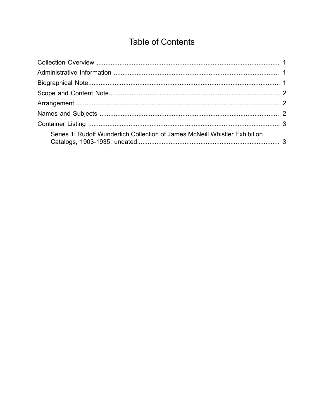## **Table of Contents**

<span id="page-1-0"></span>

| Series 1: Rudolf Wunderlich Collection of James McNeill Whistler Exhibition |  |
|-----------------------------------------------------------------------------|--|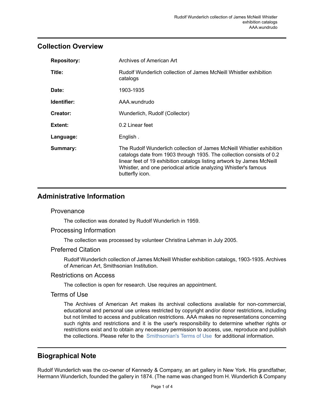### <span id="page-2-0"></span>**Collection Overview**

| <b>Repository:</b> | Archives of American Art                                                                                                                                                                                                                                                                                       |
|--------------------|----------------------------------------------------------------------------------------------------------------------------------------------------------------------------------------------------------------------------------------------------------------------------------------------------------------|
| Title:             | Rudolf Wunderlich collection of James McNeill Whistler exhibition<br>catalogs                                                                                                                                                                                                                                  |
| Date:              | 1903-1935                                                                                                                                                                                                                                                                                                      |
| Identifier:        | AAA.wundrudo                                                                                                                                                                                                                                                                                                   |
| Creator:           | Wunderlich, Rudolf (Collector)                                                                                                                                                                                                                                                                                 |
| Extent:            | 0.2 Linear feet                                                                                                                                                                                                                                                                                                |
| Language:          | English.                                                                                                                                                                                                                                                                                                       |
| Summary:           | The Rudolf Wunderlich collection of James McNeill Whistler exhibition<br>catalogs date from 1903 through 1935. The collection consists of 0.2<br>linear feet of 19 exhibition catalogs listing artwork by James McNeill<br>Whistler, and one periodical article analyzing Whistler's famous<br>butterfly icon. |

## <span id="page-2-1"></span>**Administrative Information**

#### **Provenance**

The collection was donated by Rudolf Wunderlich in 1959.

#### Processing Information

The collection was processed by volunteer Christina Lehman in July 2005.

#### Preferred Citation

Rudolf Wunderlich collection of James McNeill Whistler exhibition catalogs, 1903-1935. Archives of American Art, Smithsonian Institution.

#### Restrictions on Access

The collection is open for research. Use requires an appointment.

#### Terms of Use

The Archives of American Art makes its archival collections available for non-commercial, educational and personal use unless restricted by copyright and/or donor restrictions, including but not limited to access and publication restrictions. AAA makes no representations concerning such rights and restrictions and it is the user's responsibility to determine whether rights or restrictions exist and to obtain any necessary permission to access, use, reproduce and publish the collections. Please refer to the [Smithsonian's](https://www.si.edu/termsofuse) Terms of Use for additional information.

## <span id="page-2-2"></span>**Biographical Note**

Rudolf Wunderlich was the co-owner of Kennedy & Company, an art gallery in New York. His grandfather, Hermann Wunderlich, founded the gallery in 1874. (The name was changed from H. Wunderlich & Company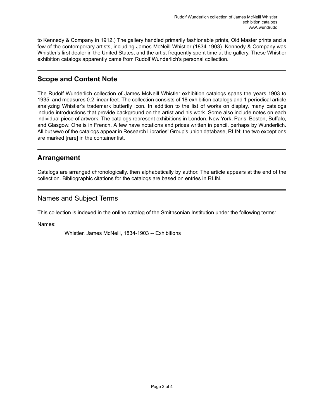to Kennedy & Company in 1912.) The gallery handled primarily fashionable prints, Old Master prints and a few of the contemporary artists, including James McNeill Whistler (1834-1903). Kennedy & Company was Whistler's first dealer in the United States, and the artist frequently spent time at the gallery. These Whistler exhibition catalogs apparently came from Rudolf Wunderlich's personal collection.

## <span id="page-3-0"></span>**Scope and Content Note**

The Rudolf Wunderlich collection of James McNeill Whistler exhibition catalogs spans the years 1903 to 1935, and measures 0.2 linear feet. The collection consists of 18 exhibition catalogs and 1 periodical article analyzing Whistler's trademark butterfly icon. In addition to the list of works on display, many catalogs include introductions that provide background on the artist and his work. Some also include notes on each individual piece of artwork. The catalogs represent exhibitions in London, New York, Paris, Boston, Buffalo, and Glasgow. One is in French. A few have notations and prices written in pencil, perhaps by Wunderlich. All but wwo of the catalogs appear in Research Libraries' Group's union database, RLIN; the two exceptions are marked [rare] in the container list.

## <span id="page-3-1"></span>**Arrangement**

Catalogs are arranged chronologically, then alphabetically by author. The article appears at the end of the collection. Bibliographic citations for the catalogs are based on entries in RLIN.

## <span id="page-3-2"></span>Names and Subject Terms

This collection is indexed in the online catalog of the Smithsonian Institution under the following terms:

Names:

Whistler, James McNeill, 1834-1903 -- Exhibitions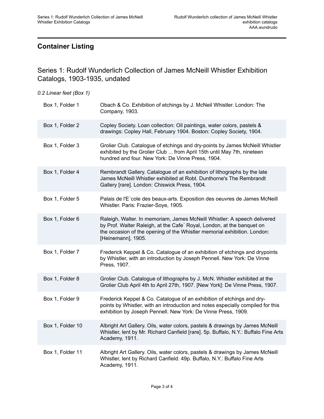## <span id="page-4-0"></span>**Container Listing**

<span id="page-4-1"></span>Series 1: Rudolf Wunderlich Collection of James McNeill Whistler Exhibition Catalogs, 1903-1935, undated

| 0.2 Linear feet (Box 1) |  |  |
|-------------------------|--|--|
|                         |  |  |

| Box 1, Folder 1  | Obach & Co. Exhibition of etchings by J. McNeil Whistler. London: The<br>Company, 1903.                                                                                                                                                              |
|------------------|------------------------------------------------------------------------------------------------------------------------------------------------------------------------------------------------------------------------------------------------------|
| Box 1, Folder 2  | Copley Society. Loan collection: Oil paintings, water colors, pastels &<br>drawings: Copley Hall, February 1904. Boston: Copley Society, 1904.                                                                                                       |
| Box 1, Folder 3  | Grolier Club. Catalogue of etchings and dry-points by James McNeill Whistler<br>exhibited by the Grolier Club  from April 15th until May 7th, nineteen<br>hundred and four. New York: De Vinne Press, 1904.                                          |
| Box 1, Folder 4  | Rembrandt Gallery. Catalogue of an exhibition of lithographs by the late<br>James McNeill Whistler exhibited at Robt. Dunthorne's The Rembrandt<br>Gallery [rare]. London: Chiswick Press, 1904.                                                     |
| Box 1, Folder 5  | Palais de l'E'cole des beaux-arts. Exposition des oeuvres de James McNeill<br>Whistler. Paris: Frazier-Soye, 1905.                                                                                                                                   |
| Box 1, Folder 6  | Raleigh, Walter. In memoriam, James McNeill Whistler: A speech delivered<br>by Prof. Walter Raleigh, at the Cafe' Royal, London, at the banquet on<br>the occasion of the opening of the Whistler memorial exhibition. London:<br>[Heinemann], 1905. |
| Box 1, Folder 7  | Frederick Keppel & Co. Catalogue of an exhibition of etchings and drypoints<br>by Whistler, with an introduction by Joseph Pennell. New York: De Vinne<br>Press, 1907.                                                                               |
| Box 1, Folder 8  | Grolier Club. Catalogue of lithographs by J. McN. Whistler exhibited at the<br>Grolier Club April 4th to April 27th, 1907. [New York]: De Vinne Press, 1907.                                                                                         |
| Box 1, Folder 9  | Frederick Keppel & Co. Catalogue of an exhibition of etchings and dry-<br>points by Whistler, with an introduction and notes especially compiled for this<br>exhibition by Joseph Pennell. New York: De Vinne Press, 1909.                           |
| Box 1, Folder 10 | Albright Art Gallery. Oils, water colors, pastels & drawings by James McNeill<br>Whistler, lent by Mr. Richard Canfield [rare]. 5p. Buffalo, N.Y.: Buffalo Fine Arts<br>Academy, 1911.                                                               |
| Box 1, Folder 11 | Albright Art Gallery. Oils, water colors, pastels & drawings by James McNeill<br>Whistler, lent by Richard Canfield. 49p. Buffalo, N.Y.: Buffalo Fine Arts<br>Academy, 1911.                                                                         |